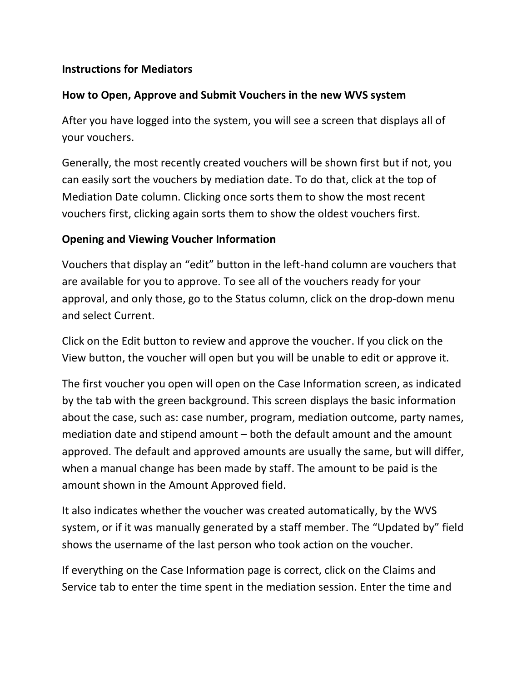### **Instructions for Mediators**

### **How to Open, Approve and Submit Vouchers in the new WVS system**

After you have logged into the system, you will see a screen that displays all of your vouchers.

Generally, the most recently created vouchers will be shown first but if not, you can easily sort the vouchers by mediation date. To do that, click at the top of Mediation Date column. Clicking once sorts them to show the most recent vouchers first, clicking again sorts them to show the oldest vouchers first.

### **Opening and Viewing Voucher Information**

Vouchers that display an "edit" button in the left-hand column are vouchers that are available for you to approve. To see all of the vouchers ready for your approval, and only those, go to the Status column, click on the drop-down menu and select Current.

Click on the Edit button to review and approve the voucher. If you click on the View button, the voucher will open but you will be unable to edit or approve it.

The first voucher you open will open on the Case Information screen, as indicated by the tab with the green background. This screen displays the basic information about the case, such as: case number, program, mediation outcome, party names, mediation date and stipend amount – both the default amount and the amount approved. The default and approved amounts are usually the same, but will differ, when a manual change has been made by staff. The amount to be paid is the amount shown in the Amount Approved field.

It also indicates whether the voucher was created automatically, by the WVS system, or if it was manually generated by a staff member. The "Updated by" field shows the username of the last person who took action on the voucher.

If everything on the Case Information page is correct, click on the Claims and Service tab to enter the time spent in the mediation session. Enter the time and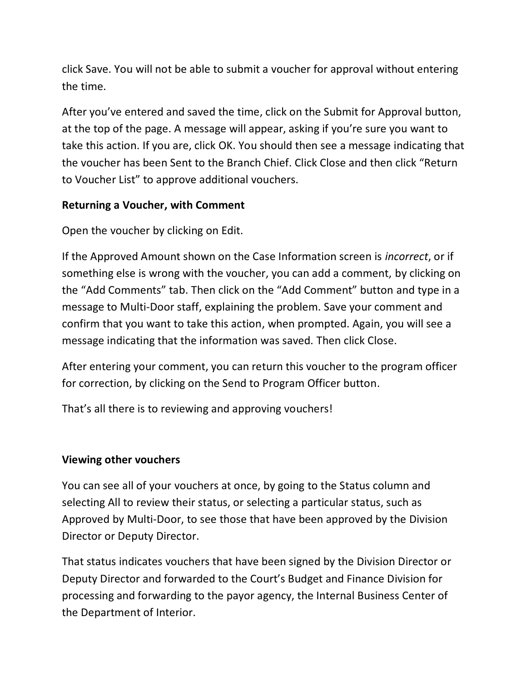click Save. You will not be able to submit a voucher for approval without entering the time.

After you've entered and saved the time, click on the Submit for Approval button, at the top of the page. A message will appear, asking if you're sure you want to take this action. If you are, click OK. You should then see a message indicating that the voucher has been Sent to the Branch Chief. Click Close and then click "Return to Voucher List" to approve additional vouchers.

## **Returning a Voucher, with Comment**

Open the voucher by clicking on Edit.

If the Approved Amount shown on the Case Information screen is *incorrect*, or if something else is wrong with the voucher, you can add a comment, by clicking on the "Add Comments" tab. Then click on the "Add Comment" button and type in a message to Multi-Door staff, explaining the problem. Save your comment and confirm that you want to take this action, when prompted. Again, you will see a message indicating that the information was saved. Then click Close.

After entering your comment, you can return this voucher to the program officer for correction, by clicking on the Send to Program Officer button.

That's all there is to reviewing and approving vouchers!

# **Viewing other vouchers**

You can see all of your vouchers at once, by going to the Status column and selecting All to review their status, or selecting a particular status, such as Approved by Multi-Door, to see those that have been approved by the Division Director or Deputy Director.

That status indicates vouchers that have been signed by the Division Director or Deputy Director and forwarded to the Court's Budget and Finance Division for processing and forwarding to the payor agency, the Internal Business Center of the Department of Interior.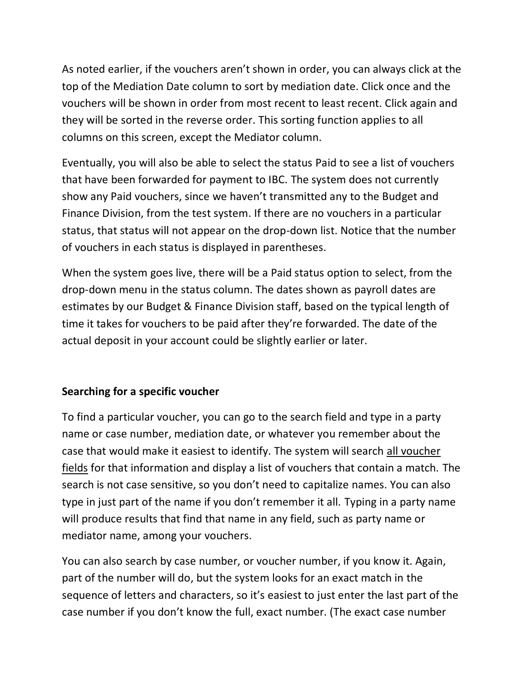As noted earlier, if the vouchers aren't shown in order, you can always click at the top of the Mediation Date column to sort by mediation date. Click once and the vouchers will be shown in order from most recent to least recent. Click again and they will be sorted in the reverse order. This sorting function applies to all columns on this screen, except the Mediator column.

Eventually, you will also be able to select the status Paid to see a list of vouchers that have been forwarded for payment to IBC. The system does not currently show any Paid vouchers, since we haven't transmitted any to the Budget and Finance Division, from the test system. If there are no vouchers in a particular status, that status will not appear on the drop-down list. Notice that the number of vouchers in each status is displayed in parentheses.

When the system goes live, there will be a Paid status option to select, from the drop-down menu in the status column. The dates shown as payroll dates are estimates by our Budget & Finance Division staff, based on the typical length of time it takes for vouchers to be paid after they're forwarded. The date of the actual deposit in your account could be slightly earlier or later.

# **Searching for a specific voucher**

To find a particular voucher, you can go to the search field and type in a party name or case number, mediation date, or whatever you remember about the case that would make it easiest to identify. The system will search all voucher fields for that information and display a list of vouchers that contain a match. The search is not case sensitive, so you don't need to capitalize names. You can also type in just part of the name if you don't remember it all. Typing in a party name will produce results that find that name in any field, such as party name or mediator name, among your vouchers.

You can also search by case number, or voucher number, if you know it. Again, part of the number will do, but the system looks for an exact match in the sequence of letters and characters, so it's easiest to just enter the last part of the case number if you don't know the full, exact number. (The exact case number